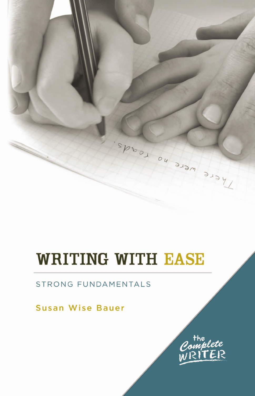

# **WRITING WITH EASE**

## **STRONG FUNDAMENTALS**

**Susan Wise Bauer** 

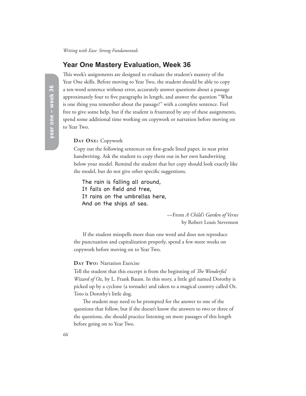### **Year One Mastery Evaluation, Week 36**

year one - week 36 **year one – week 36**

This week's assignments are designed to evaluate the student's mastery of the Year One skills. Before moving to Year Two, the student should be able to copy a ten-word sentence without error, accurately answer questions about a passage approximately four to five paragraphs in length, and answer the question "What is one thing you remember about the passage?" with a complete sentence. Feel free to give some help, but if the student is frustrated by any of these assignments, spend some additional time working on copywork or narration before moving on to Year Two.

### **DAY ONE:** Copywork

Copy out the following sentences on first-grade lined paper, in neat print handwriting. Ask the student to copy them out in her own handwriting below your model. Remind the student that her copy should look exactly like the model, but do not give other specific suggestions.

The rain is falling all around, It falls on field and tree, It rains on the umbrellas here, And on the ships at sea.

> —From *A Child's Garden of Verses*  by Robert Louis Stevenson

If the student misspells more than one word and does not reproduce the punctuation and capitalization properly, spend a few more weeks on copywork before moving on to Year Two.

#### **DAY TWO:** Narration Exercise

Tell the student that this excerpt is from the beginning of *The Wonderful Wizard of Oz*, by L. Frank Baum. In this story, a little girl named Dorothy is picked up by a cyclone (a tornado) and taken to a magical country called Oz. Toto is Dorothy's little dog.

The student may need to be prompted for the answer to one of the questions that follow, but if she doesn't know the answers to two or three of the questions, she should practice listening on more passages of this length before going on to Year Two.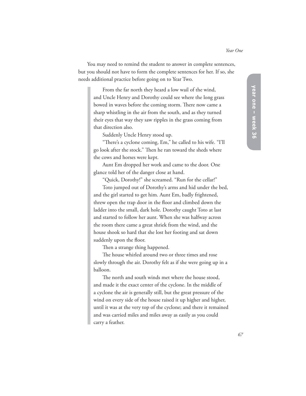### *Year One*

You may need to remind the student to answer in complete sentences, but you should not have to form the complete sentences for her. If so, she needs additional practice before going on to Year Two.

From the far north they heard a low wail of the wind, and Uncle Henry and Dorothy could see where the long grass bowed in waves before the coming storm. There now came a sharp whistling in the air from the south, and as they turned their eyes that way they saw ripples in the grass coming from that direction also.

Suddenly Uncle Henry stood up.

"There's a cyclone coming, Em," he called to his wife. "I'll go look after the stock." Then he ran toward the sheds where the cows and horses were kept.

Aunt Em dropped her work and came to the door. One glance told her of the danger close at hand.

"Quick, Dorothy!" she screamed. "Run for the cellar!" Toto jumped out of Dorothy's arms and hid under the bed, and the girl started to get him. Aunt Em, badly frightened, threw open the trap door in the floor and climbed down the ladder into the small, dark hole. Dorothy caught Toto at last and started to follow her aunt. When she was halfway across the room there came a great shriek from the wind, and the house shook so hard that she lost her footing and sat down suddenly upon the floor.

Then a strange thing happened.

The house whirled around two or three times and rose slowly through the air. Dorothy felt as if she were going up in a balloon.

The north and south winds met where the house stood, and made it the exact center of the cyclone. In the middle of a cyclone the air is generally still, but the great pressure of the wind on every side of the house raised it up higher and higher, until it was at the very top of the cyclone; and there it remained and was carried miles and miles away as easily as you could carry a feather.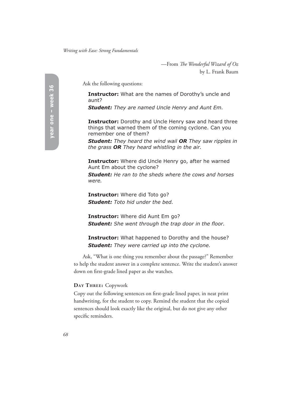—From *The Wonderful Wizard of Oz*  by L. Frank Baum

Ask the following questions:

**Instructor:** What are the names of Dorothy's uncle and aunt?

*Student: They are named Uncle Henry and Aunt Em.*

**Instructor:** Dorothy and Uncle Henry saw and heard three things that warned them of the coming cyclone. Can you remember one of them?

*Student: They heard the wind wail OR They saw ripples in the grass OR They heard whistling in the air.*

**Instructor:** Where did Uncle Henry go, after he warned Aunt Em about the cyclone?

*Student: He ran to the sheds where the cows and horses were.*

**Instructor:** Where did Toto go? *Student: Toto hid under the bed.*

**Instructor:** Where did Aunt Em go? *Student: She went through the trap door in the floor.*

**Instructor:** What happened to Dorothy and the house? *Student: They were carried up into the cyclone.*

Ask, "What is one thing you remember about the passage?" Remember to help the student answer in a complete sentence. Write the student's answer down on first-grade lined paper as she watches.

#### **DAY THREE:** Copywork

Copy out the following sentences on first-grade lined paper, in neat print handwriting, for the student to copy. Remind the student that the copied sentences should look exactly like the original, but do not give any other specific reminders.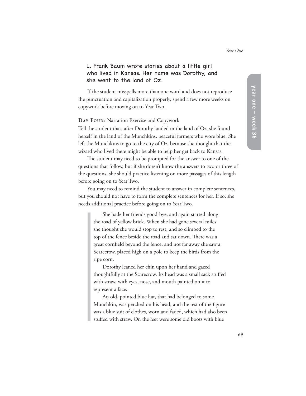### L. Frank Baum wrote stories about a little girl who lived in Kansas. Her name was Dorothy, and she went to the land of Oz.

If the student misspells more than one word and does not reproduce the punctuation and capitalization properly, spend a few more weeks on copywork before moving on to Year Two.

### **DAY FOUR:** Narration Exercise and Copywork

Tell the student that, after Dorothy landed in the land of Oz, she found herself in the land of the Munchkins, peaceful farmers who wore blue. She left the Munchkins to go to the city of Oz, because she thought that the wizard who lived there might be able to help her get back to Kansas.

The student may need to be prompted for the answer to one of the questions that follow, but if she doesn't know the answers to two or three of the questions, she should practice listening on more passages of this length before going on to Year Two.

You may need to remind the student to answer in complete sentences, but you should not have to form the complete sentences for her. If so, she needs additional practice before going on to Year Two.

She bade her friends good-bye, and again started along the road of yellow brick. When she had gone several miles she thought she would stop to rest, and so climbed to the top of the fence beside the road and sat down. There was a great cornfield beyond the fence, and not far away she saw a Scarecrow, placed high on a pole to keep the birds from the ripe corn.

Dorothy leaned her chin upon her hand and gazed thoughtfully at the Scarecrow. Its head was a small sack stuffed with straw, with eyes, nose, and mouth painted on it to represent a face.

An old, pointed blue hat, that had belonged to some Munchkin, was perched on his head, and the rest of the figure was a blue suit of clothes, worn and faded, which had also been stuffed with straw. On the feet were some old boots with blue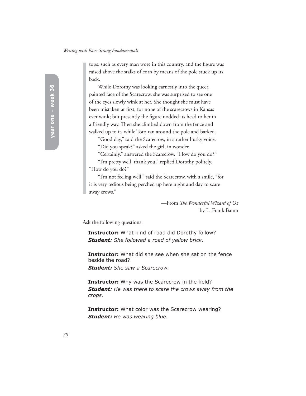tops, such as every man wore in this country, and the figure was raised above the stalks of corn by means of the pole stuck up its back.

While Dorothy was looking earnestly into the queer, painted face of the Scarecrow, she was surprised to see one of the eyes slowly wink at her. She thought she must have been mistaken at first, for none of the scarecrows in Kansas ever wink; but presently the figure nodded its head to her in a friendly way. Then she climbed down from the fence and walked up to it, while Toto ran around the pole and barked.

"Good day," said the Scarecrow, in a rather husky voice. "Did you speak?" asked the girl, in wonder.

"Certainly," answered the Scarecrow. "How do you do?"

"I'm pretty well, thank you," replied Dorothy politely. "How do you do?"

"I'm not feeling well," said the Scarecrow, with a smile, "for it is very tedious being perched up here night and day to scare

> —From *The Wonderful Wizard of Oz*  by L. Frank Baum

Ask the following questions:

away crows."

**Instructor:** What kind of road did Dorothy follow? *Student: She followed a road of yellow brick.*

**Instructor:** What did she see when she sat on the fence beside the road? *Student: She saw a Scarecrow.*

**Instructor:** Why was the Scarecrow in the field? *Student: He was there to scare the crows away from the crops.*

**Instructor:** What color was the Scarecrow wearing? *Student: He was wearing blue.*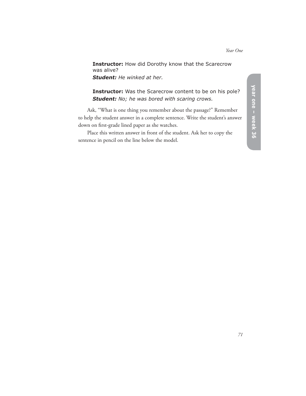*Year One*

**Instructor:** How did Dorothy know that the Scarecrow was alive? *Student: He winked at her.*

**Instructor:** Was the Scarecrow content to be on his pole? *Student: No; he was bored with scaring crows.*

Ask, "What is one thing you remember about the passage?" Remember to help the student answer in a complete sentence. Write the student's answer down on first-grade lined paper as she watches.

Place this written answer in front of the student. Ask her to copy the sentence in pencil on the line below the model.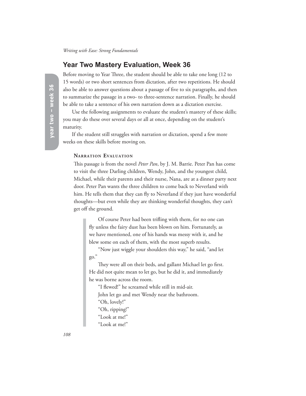### **Year Two Mastery Evaluation, Week 36**

Before moving to Year Three, the student should be able to take one long (12 to 15 words) or two short sentences from dictation, after two repetitions. He should also be able to answer questions about a passage of five to six paragraphs, and then to summarize the passage in a two- to three-sentence narration. Finally, he should be able to take a sentence of his own narration down as a dictation exercise.

Use the following assignments to evaluate the student's mastery of these skills; you may do these over several days or all at once, depending on the student's maturity.

If the student still struggles with narration or dictation, spend a few more weeks on these skills before moving on.

### **NARRATION EVALUATION**

This passage is from the novel *Peter Pan*, by J. M. Barrie. Peter Pan has come to visit the three Darling children, Wendy, John, and the youngest child, Michael, while their parents and their nurse, Nana, are at a dinner party next door. Peter Pan wants the three children to come back to Neverland with him. He tells them that they can fly to Neverland if they just have wonderful thoughts—but even while they are thinking wonderful thoughts, they can't get off the ground.

Of course Peter had been trifling with them, for no one can fly unless the fairy dust has been blown on him. Fortunately, as we have mentioned, one of his hands was messy with it, and he blew some on each of them, with the most superb results.

"Now just wiggle your shoulders this way," he said, "and let go."

They were all on their beds, and gallant Michael let go first. He did not quite mean to let go, but he did it, and immediately he was borne across the room.

"I flewed!" he screamed while still in mid-air. John let go and met Wendy near the bathroom. "Oh, lovely!" "Oh, ripping!" "Look at me!" "Look at me!"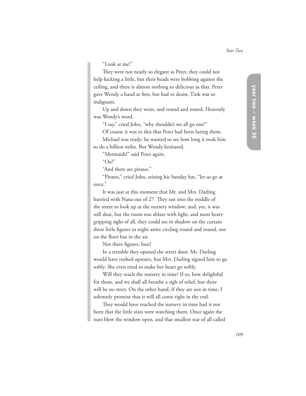*Year Two*

"Look at me!"

They were not nearly so elegant as Peter, they could not help kicking a little, but their heads were bobbing against the ceiling, and there is almost nothing so delicious as that. Peter gave Wendy a hand at first, but had to desist, Tink was so indignant.

Up and down they went, and round and round. Heavenly was Wendy's word.

"I say," cried John, "why shouldn't we all go out?"

Of course it was to this that Peter had been luring them. Michael was ready: he wanted to see how long it took him to do a billion miles. But Wendy hesitated.

"Mermaids!" said Peter again.

"Oo!"

"And there are pirates."

"Pirates," cried John, seizing his Sunday hat, "let us go at once."

It was just at this moment that Mr. and Mrs. Darling hurried with Nana out of 27. They ran into the middle of the street to look up at the nursery window; and, yes, it was still shut, but the room was ablaze with light, and most heartgripping sight of all, they could see in shadow on the curtain three little figures in night attire circling round and round, not on the floor but in the air.

Not three figures, four!

In a tremble they opened the street door. Mr. Darling would have rushed upstairs, but Mrs. Darling signed him to go softly. She even tried to make her heart go softly.

Will they reach the nursery in time? If so, how delightful for them, and we shall all breathe a sigh of relief, but there will be no story. On the other hand, if they are not in time, I solemnly promise that it will all come right in the end.

They would have reached the nursery in time had it not been that the little stars were watching them. Once again the stars blew the window open, and that smallest star of all called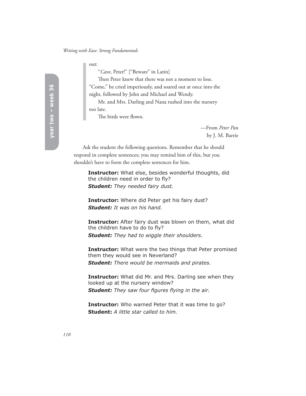out: "*Cave*, Peter!" ["Beware" in Latin]

Then Peter knew that there was not a moment to lose. "Come," he cried imperiously, and soared out at once into the night, followed by John and Michael and Wendy. Mr. and Mrs. Darling and Nana rushed into the nursery

too late.

The birds were flown.

—From *Peter Pan* by J. M. Barrie

Ask the student the following questions. Remember that he should respond in complete sentences; you may remind him of this, but you shouldn't have to form the complete sentences for him.

**Instructor:** What else, besides wonderful thoughts, did the children need in order to fly? *Student: They needed fairy dust.*

**Instructor:** Where did Peter get his fairy dust? *Student: It was on his hand.*

**Instructor:** After fairy dust was blown on them, what did the children have to do to fly? *Student: They had to wiggle their shoulders.*

**Instructor:** What were the two things that Peter promised them they would see in Neverland? *Student: There would be mermaids and pirates.*

**Instructor:** What did Mr. and Mrs. Darling see when they looked up at the nursery window? *Student: They saw four figures flying in the air.*

**Instructor:** Who warned Peter that it was time to go? **Student:** *A little star called to him.*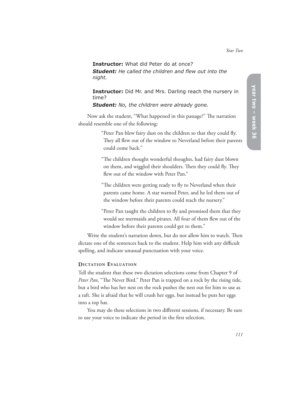*Year Two*

### **Instructor:** What did Peter do at once?

*Student: He called the children and flew out into the night.*

**Instructor:** Did Mr. and Mrs. Darling reach the nursery in time?

*Student: No, the children were already gone.*

Now ask the student, "What happened in this passage?" The narration should resemble one of the following:

> "Peter Pan blew fairy dust on the children so that they could fly. They all flew out of the window to Neverland before their parents could come back."

"The children thought wonderful thoughts, had fairy dust blown on them, and wiggled their shoulders. Then they could fly. They flew out of the window with Peter Pan."

"The children were getting ready to fly to Neverland when their parents came home. A star warned Peter, and he led them out of the window before their parents could reach the nursery."

"Peter Pan taught the children to fly and promised them that they would see mermaids and pirates. All four of them flew out of the window before their parents could get to them."

Write the student's narration down, but do not allow him to watch. Then dictate one of the sentences back to the student. Help him with any difficult spelling, and indicate unusual punctuation with your voice.

### **DICTATION EVALUATION**

Tell the student that these two dictation selections come from Chapter 9 of *Peter Pan*, "The Never Bird." Peter Pan is trapped on a rock by the rising tide, but a bird who has her nest on the rock pushes the nest out for him to use as a raft. She is afraid that he will crush her eggs, but instead he puts her eggs into a top hat.

You may do these selections in two different sessions, if necessary. Be sure to use your voice to indicate the period in the first selection.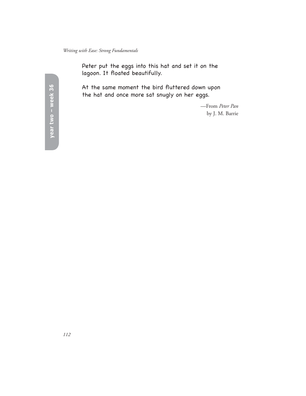Peter put the eggs into this hat and set it on the lagoon. It floated beautifully.

At the same moment the bird fluttered down upon the hat and once more sat snugly on her eggs.

> —From *Peter Pan* by J. M. Barrie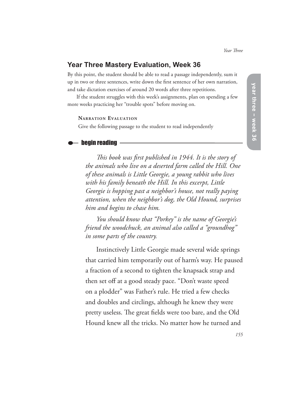### **Year Three Mastery Evaluation, Week 36**

By this point, the student should be able to read a passage independently, sum it up in two or three sentences, write down the first sentence of her own narration, and take dictation exercises of around 20 words after three repetitions.

If the student struggles with this week's assignments, plan on spending a few more weeks practicing her "trouble spots" before moving on.

### **NARRATION EVALUATION**

Give the following passage to the student to read independently

### begin reading

*This book was first published in 1944. It is the story of the animals who live on a deserted farm called the Hill. One of these animals is Little Georgie, a young rabbit who lives with his family beneath the Hill. In this excerpt, Little Georgie is hopping past a neighbor's house, not really paying attention, when the neighbor's dog, the Old Hound, surprises him and begins to chase him.*

*You should know that "Porkey" is the name of Georgie's friend the woodchuck, an animal also called a "groundhog" in some parts of the country.*

Instinctively Little Georgie made several wide springs that carried him temporarily out of harm's way. He paused a fraction of a second to tighten the knapsack strap and then set off at a good steady pace. "Don't waste speed on a plodder" was Father's rule. He tried a few checks and doubles and circlings, although he knew they were pretty useless. The great fields were too bare, and the Old Hound knew all the tricks. No matter how he turned and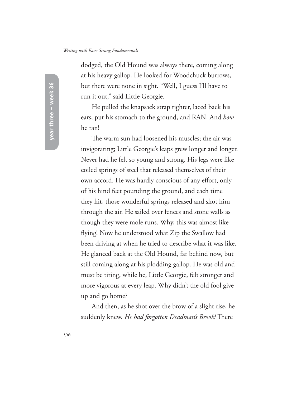dodged, the Old Hound was always there, coming along at his heavy gallop. He looked for Woodchuck burrows, but there were none in sight. "Well, I guess I'll have to run it out," said Little Georgie.

He pulled the knapsack strap tighter, laced back his ears, put his stomach to the ground, and RAN. And *how*  he ran!

The warm sun had loosened his muscles; the air was invigorating; Little Georgie's leaps grew longer and longer. Never had he felt so young and strong. His legs were like coiled springs of steel that released themselves of their own accord. He was hardly conscious of any effort, only of his hind feet pounding the ground, and each time they hit, those wonderful springs released and shot him through the air. He sailed over fences and stone walls as though they were mole runs. Why, this was almost like flying! Now he understood what Zip the Swallow had been driving at when he tried to describe what it was like. He glanced back at the Old Hound, far behind now, but still coming along at his plodding gallop. He was old and must be tiring, while he, Little Georgie, felt stronger and more vigorous at every leap. Why didn't the old fool give up and go home?

And then, as he shot over the brow of a slight rise, he suddenly knew. *He had forgotten Deadman's Brook!* There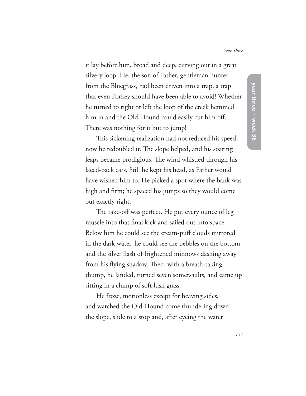it lay before him, broad and deep, curving out in a great silvery loop. He, the son of Father, gentleman hunter from the Bluegrass, had been driven into a trap, a trap that even Porkey should have been able to avoid! Whether he turned to right or left the loop of the creek hemmed him in and the Old Hound could easily cut him off. There was nothing for it but to jump!

This sickening realization had not reduced his speed; now he redoubled it. The slope helped, and his soaring leaps became prodigious. The wind whistled through his laced-back ears. Still he kept his head, as Father would have wished him to. He picked a spot where the bank was high and firm; he spaced his jumps so they would come out exactly right.

The take-off was perfect. He put every ounce of leg muscle into that final kick and sailed out into space. Below him he could see the cream-puff clouds mirrored in the dark water, he could see the pebbles on the bottom and the silver flash of frightened minnows dashing away from his flying shadow. Then, with a breath-taking thump, he landed, turned seven somersaults, and came up sitting in a clump of soft lush grass.

He froze, motionless except for heaving sides, and watched the Old Hound come thundering down the slope, slide to a stop and, after eyeing the water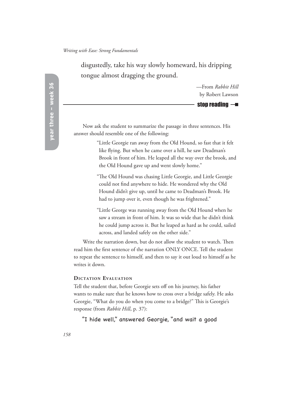disgustedly, take his way slowly homeward, his dripping tongue almost dragging the ground.

> —From *Rabbit Hill* by Robert Lawson

stop reading  $-\blacksquare$ 

Now ask the student to summarize the passage in three sentences. His answer should resemble one of the following:

> "Little Georgie ran away from the Old Hound, so fast that it felt like flying. But when he came over a hill, he saw Deadman's Brook in front of him. He leaped all the way over the brook, and the Old Hound gave up and went slowly home."

"The Old Hound was chasing Little Georgie, and Little Georgie could not find anywhere to hide. He wondered why the Old Hound didn't give up, until he came to Deadman's Brook. He had to jump over it, even though he was frightened."

"Little George was running away from the Old Hound when he saw a stream in front of him. It was so wide that he didn't think he could jump across it. But he leaped as hard as he could, sailed across, and landed safely on the other side."

Write the narration down, but do not allow the student to watch. Then read him the first sentence of the narration ONLY ONCE. Tell the student to repeat the sentence to himself, and then to say it out loud to himself as he writes it down.

#### **DICTATION EVALUATION**

Tell the student that, before Georgie sets off on his journey, his father wants to make sure that he knows how to cross over a bridge safely. He asks Georgie, "What do you do when you come to a bridge?" This is Georgie's response (from *Rabbit Hill*, p. 37):

"I hide well," answered Georgie, "and wait a good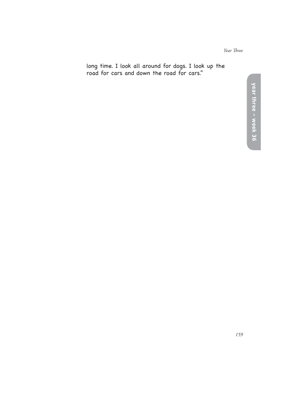*Year Three*

long time. I look all around for dogs. I look up the road for cars and down the road for cars."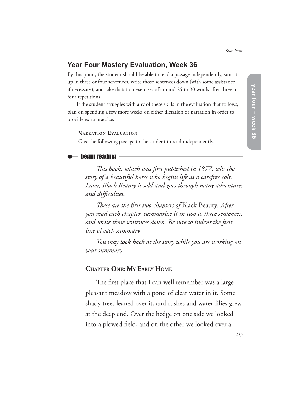### **Year Four Mastery Evaluation, Week 36**

By this point, the student should be able to read a passage independently, sum it up in three or four sentences, write those sentences down (with some assistance if necessary), and take dictation exercises of around 25 to 30 words after three to four repetitions.

If the student struggles with any of these skills in the evaluation that follows, plan on spending a few more weeks on either dictation or narration in order to provide extra practice.

### **NARRATION EVALUATION**

**- begin reading** 

Give the following passage to the student to read independently.

*This book, which was first published in 1877, tells the story of a beautiful horse who begins life as a carefree colt. Later, Black Beauty is sold and goes through many adventures and difficulties.* 

*These are the first two chapters of* Black Beauty*. After you read each chapter, summarize it in two to three sentences, and write those sentences down. Be sure to indent the first line of each summary.*

*You may look back at the story while you are working on your summary.*

### **CHAPTER ONE: MY EARLY HOME**

The first place that I can well remember was a large pleasant meadow with a pond of clear water in it. Some shady trees leaned over it, and rushes and water-lilies grew at the deep end. Over the hedge on one side we looked into a plowed field, and on the other we looked over a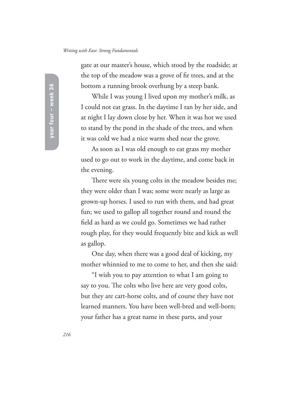gate at our master's house, which stood by the roadside; at the top of the meadow was a grove of fir trees, and at the bottom a running brook overhung by a steep bank.

While I was young I lived upon my mother's milk, as I could not eat grass. In the daytime I ran by her side, and at night I lay down close by her. When it was hot we used to stand by the pond in the shade of the trees, and when it was cold we had a nice warm shed near the grove.

As soon as I was old enough to eat grass my mother used to go out to work in the daytime, and come back in the evening.

There were six young colts in the meadow besides me; they were older than I was; some were nearly as large as grown-up horses. I used to run with them, and had great fun; we used to gallop all together round and round the field as hard as we could go. Sometimes we had rather rough play, for they would frequently bite and kick as well as gallop.

One day, when there was a good deal of kicking, my mother whinnied to me to come to her, and then she said:

"I wish you to pay attention to what I am going to say to you. The colts who live here are very good colts, but they are cart-horse colts, and of course they have not learned manners. You have been well-bred and well-born; your father has a great name in these parts, and your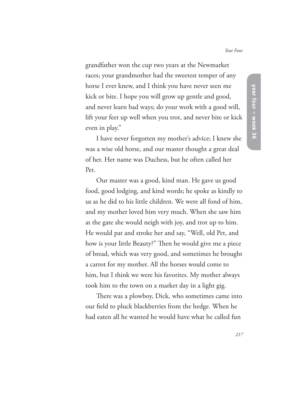grandfather won the cup two years at the Newmarket races; your grandmother had the sweetest temper of any horse I ever knew, and I think you have never seen me kick or bite. I hope you will grow up gentle and good, and never learn bad ways; do your work with a good will, lift your feet up well when you trot, and never bite or kick even in play."

I have never forgotten my mother's advice; I knew she was a wise old horse, and our master thought a great deal of her. Her name was Duchess, but he often called her Pet.

Our master was a good, kind man. He gave us good food, good lodging, and kind words; he spoke as kindly to us as he did to his little children. We were all fond of him, and my mother loved him very much. When she saw him at the gate she would neigh with joy, and trot up to him. He would pat and stroke her and say, "Well, old Pet, and how is your little Beauty?" Then he would give me a piece of bread, which was very good, and sometimes he brought a carrot for my mother. All the horses would come to him, but I think we were his favorites. My mother always took him to the town on a market day in a light gig.

There was a plowboy, Dick, who sometimes came into our field to pluck blackberries from the hedge. When he had eaten all he wanted he would have what he called fun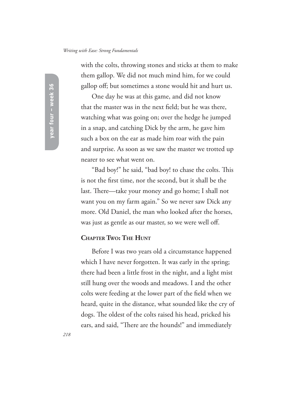with the colts, throwing stones and sticks at them to make them gallop. We did not much mind him, for we could gallop off; but sometimes a stone would hit and hurt us.

One day he was at this game, and did not know that the master was in the next field; but he was there, watching what was going on; over the hedge he jumped in a snap, and catching Dick by the arm, he gave him such a box on the ear as made him roar with the pain and surprise. As soon as we saw the master we trotted up nearer to see what went on.

"Bad boy!" he said, "bad boy! to chase the colts. This is not the first time, nor the second, but it shall be the last. There—take your money and go home; I shall not want you on my farm again." So we never saw Dick any more. Old Daniel, the man who looked after the horses, was just as gentle as our master, so we were well off.

### **CHAPTER TWO: THE HUNT**

Before I was two years old a circumstance happened which I have never forgotten. It was early in the spring; there had been a little frost in the night, and a light mist still hung over the woods and meadows. I and the other colts were feeding at the lower part of the field when we heard, quite in the distance, what sounded like the cry of dogs. The oldest of the colts raised his head, pricked his ears, and said, "There are the hounds!" and immediately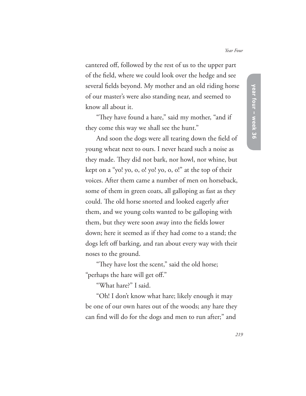cantered off, followed by the rest of us to the upper part of the field, where we could look over the hedge and see several fields beyond. My mother and an old riding horse of our master's were also standing near, and seemed to know all about it.

"They have found a hare," said my mother, "and if they come this way we shall see the hunt."

And soon the dogs were all tearing down the field of young wheat next to ours. I never heard such a noise as they made. They did not bark, nor howl, nor whine, but kept on a "yo! yo, o, o! yo! yo, o, o!" at the top of their voices. After them came a number of men on horseback, some of them in green coats, all galloping as fast as they could. The old horse snorted and looked eagerly after them, and we young colts wanted to be galloping with them, but they were soon away into the fields lower down; here it seemed as if they had come to a stand; the dogs left off barking, and ran about every way with their noses to the ground.

"They have lost the scent," said the old horse; "perhaps the hare will get off."

"What hare?" I said.

"Oh! I don't know what hare; likely enough it may be one of our own hares out of the woods; any hare they can find will do for the dogs and men to run after;" and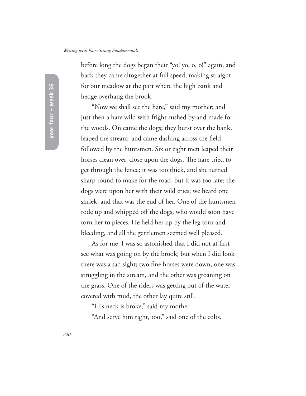before long the dogs began their "yo! yo, o, o!" again, and back they came altogether at full speed, making straight for our meadow at the part where the high bank and hedge overhang the brook.

"Now we shall see the hare," said my mother; and just then a hare wild with fright rushed by and made for the woods. On came the dogs; they burst over the bank, leaped the stream, and came dashing across the field followed by the huntsmen. Six or eight men leaped their horses clean over, close upon the dogs. The hare tried to get through the fence; it was too thick, and she turned sharp round to make for the road, but it was too late; the dogs were upon her with their wild cries; we heard one shriek, and that was the end of her. One of the huntsmen rode up and whipped off the dogs, who would soon have torn her to pieces. He held her up by the leg torn and bleeding, and all the gentlemen seemed well pleased.

As for me, I was so astonished that I did not at first see what was going on by the brook; but when I did look there was a sad sight; two fine horses were down, one was struggling in the stream, and the other was groaning on the grass. One of the riders was getting out of the water covered with mud, the other lay quite still.

"His neck is broke," said my mother. "And serve him right, too," said one of the colts.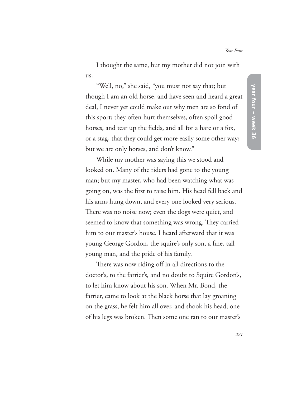#### *Year Four*

I thought the same, but my mother did not join with us.

"Well, no," she said, "you must not say that; but though I am an old horse, and have seen and heard a great deal, I never yet could make out why men are so fond of this sport; they often hurt themselves, often spoil good horses, and tear up the fields, and all for a hare or a fox, or a stag, that they could get more easily some other way; but we are only horses, and don't know."

While my mother was saying this we stood and looked on. Many of the riders had gone to the young man; but my master, who had been watching what was going on, was the first to raise him. His head fell back and his arms hung down, and every one looked very serious. There was no noise now; even the dogs were quiet, and seemed to know that something was wrong. They carried him to our master's house. I heard afterward that it was young George Gordon, the squire's only son, a fine, tall young man, and the pride of his family.

There was now riding off in all directions to the doctor's, to the farrier's, and no doubt to Squire Gordon's, to let him know about his son. When Mr. Bond, the farrier, came to look at the black horse that lay groaning on the grass, he felt him all over, and shook his head; one of his legs was broken. Then some one ran to our master's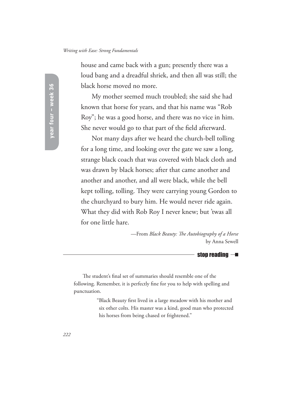house and came back with a gun; presently there was a loud bang and a dreadful shriek, and then all was still; the black horse moved no more.

My mother seemed much troubled; she said she had known that horse for years, and that his name was "Rob Roy"; he was a good horse, and there was no vice in him. She never would go to that part of the field afterward.

Not many days after we heard the church-bell tolling for a long time, and looking over the gate we saw a long, strange black coach that was covered with black cloth and was drawn by black horses; after that came another and another and another, and all were black, while the bell kept tolling, tolling. They were carrying young Gordon to the churchyard to bury him. He would never ride again. What they did with Rob Roy I never knew; but 'twas all for one little hare.

> —From *Black Beauty: The Autobiography of a Horse* by Anna Sewell

#### stop reading  $-\blacksquare$

The student's final set of summaries should resemble one of the following. Remember, it is perfectly fine for you to help with spelling and punctuation.

> "Black Beauty first lived in a large meadow with his mother and six other colts. His master was a kind, good man who protected his horses from being chased or frightened."